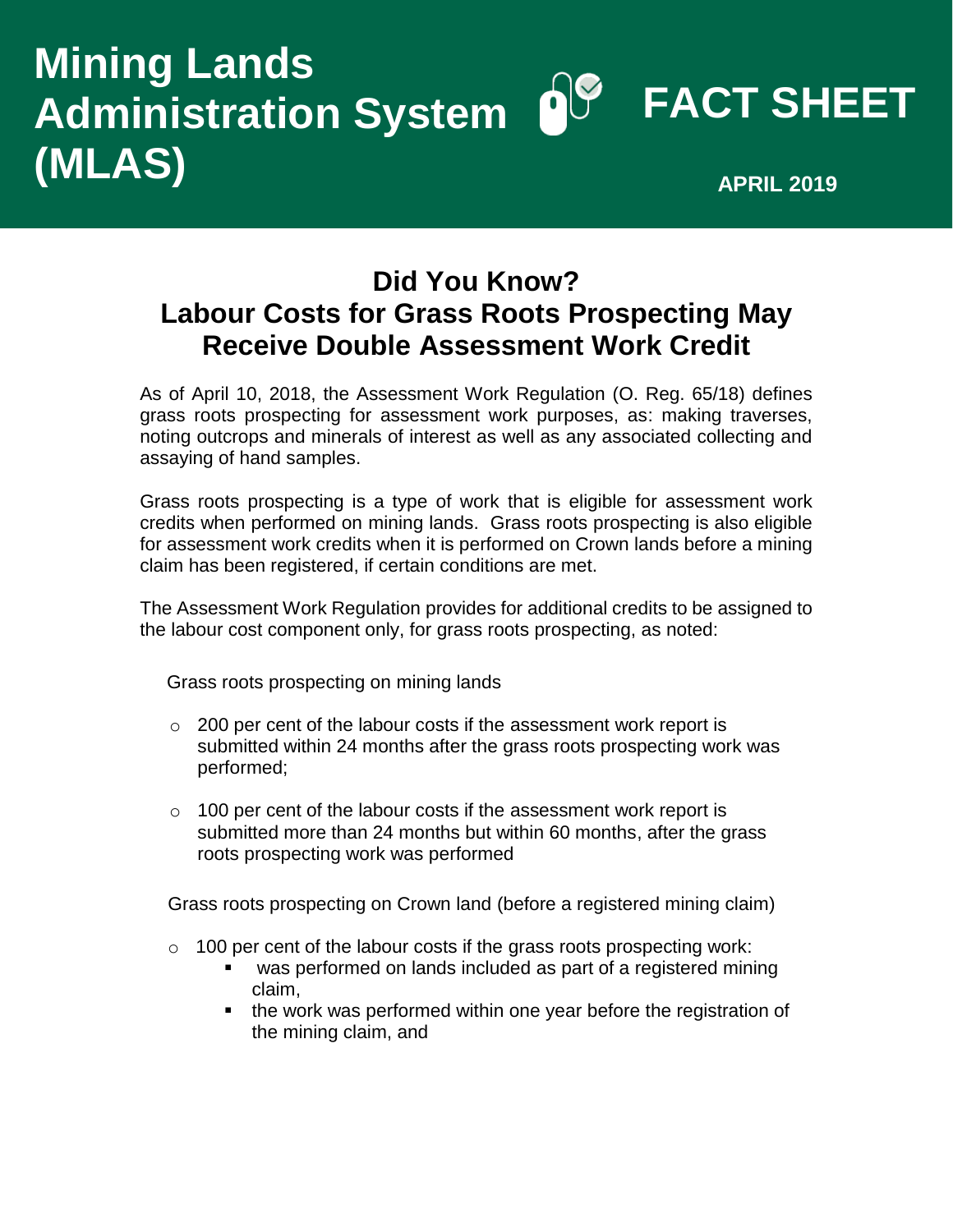## **FACT SHEET Administration System Mining Lands (MLAS) APRIL 2019**

## **Did You Know? Labour Costs for Grass Roots Prospecting May Receive Double Assessment Work Credit**

As of April 10, 2018, the Assessment Work Regulation (O. Reg. 65/18) defines grass roots prospecting for assessment work purposes, as: making traverses, noting outcrops and minerals of interest as well as any associated collecting and assaying of hand samples.

Grass roots prospecting is a type of work that is eligible for assessment work credits when performed on mining lands. Grass roots prospecting is also eligible for assessment work credits when it is performed on Crown lands before a mining claim has been registered, if certain conditions are met.

The Assessment Work Regulation provides for additional credits to be assigned to the labour cost component only, for grass roots prospecting, as noted:

Grass roots prospecting on mining lands

- $\circ$  200 per cent of the labour costs if the assessment work report is submitted within 24 months after the grass roots prospecting work was performed;
- $\circ$  100 per cent of the labour costs if the assessment work report is submitted more than 24 months but within 60 months, after the grass roots prospecting work was performed

Grass roots prospecting on Crown land (before a registered mining claim)

- $\circ$  100 per cent of the labour costs if the grass roots prospecting work:
	- was performed on lands included as part of a registered mining claim,
	- the work was performed within one year before the registration of the mining claim, and